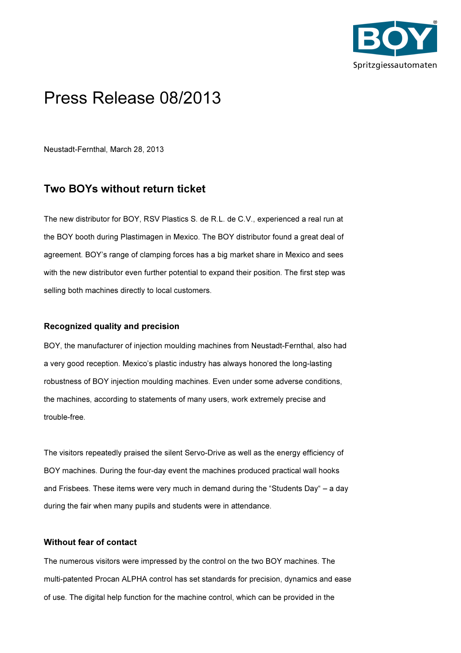

## Press Release 08/2013

Neustadt-Fernthal, March 28, 2013

## Two BOYs without return ticket

The new distributor for BOY, RSV Plastics S. de R.L. de C.V., experienced a real run at the BOY booth during Plastimagen in Mexico. The BOY distributor found a great deal of agreement. BOY's range of clamping forces has a big market share in Mexico and sees with the new distributor even further potential to expand their position. The first step was selling both machines directly to local customers.

## Recognized quality and precision

BOY, the manufacturer of injection moulding machines from Neustadt-Fernthal, also had a very good reception. Mexico's plastic industry has always honored the long-lasting robustness of BOY injection moulding machines. Even under some adverse conditions, the machines, according to statements of many users, work extremely precise and trouble-free.

The visitors repeatedly praised the silent Servo-Drive as well as the energy efficiency of BOY machines. During the four-day event the machines produced practical wall hooks and Frisbees. These items were very much in demand during the "Students Day" – a day during the fair when many pupils and students were in attendance.

## Without fear of contact

The numerous visitors were impressed by the control on the two BOY machines. The multi-patented Procan ALPHA control has set standards for precision, dynamics and ease of use. The digital help function for the machine control, which can be provided in the